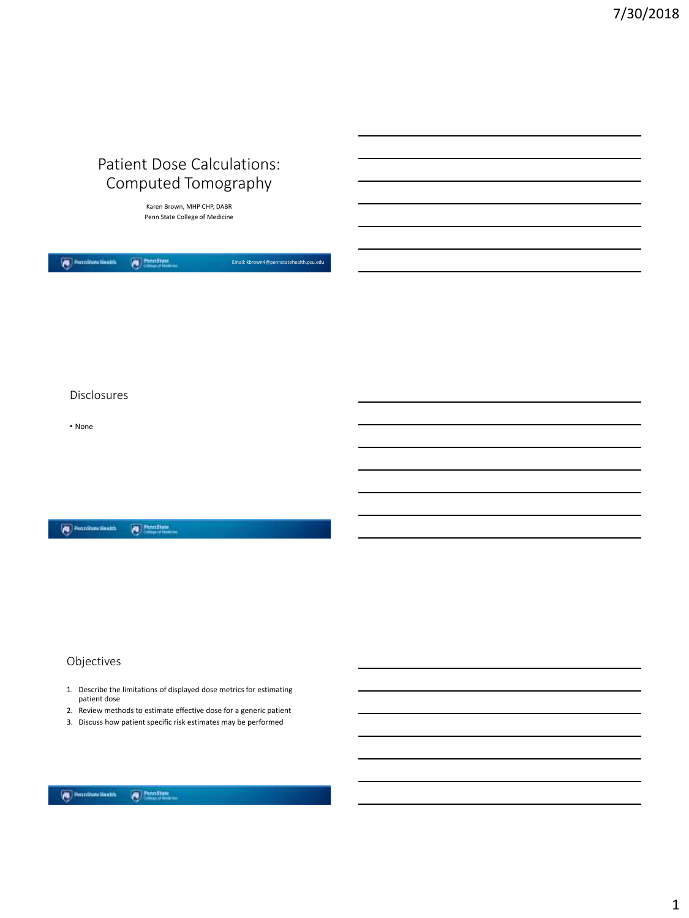# Patient Dose Calculations: Computed Tomography

Karen Brown, MHP CHP, DABR Penn State College of Medicine

Permittant

Email: kbrown4@pennstatehealth.psu.edu

Disclosures

 $\left(\overline{\mathbf{C}}\right)$  Periodical Hamilton

• None

 $\left(\overline{\mathbf{q}}\right)$  Pennsboro Haasin Permanent

## Objectives

- 1. Describe the limitations of displayed dose metrics for estimating patient dose
- 2. Review methods to estimate effective dose for a generic patient
- 3. Discuss how patient specific risk estimates may be performed

 $\left(\overline{\bullet}\right)$  PennShote Haalm  $e^{\pi}$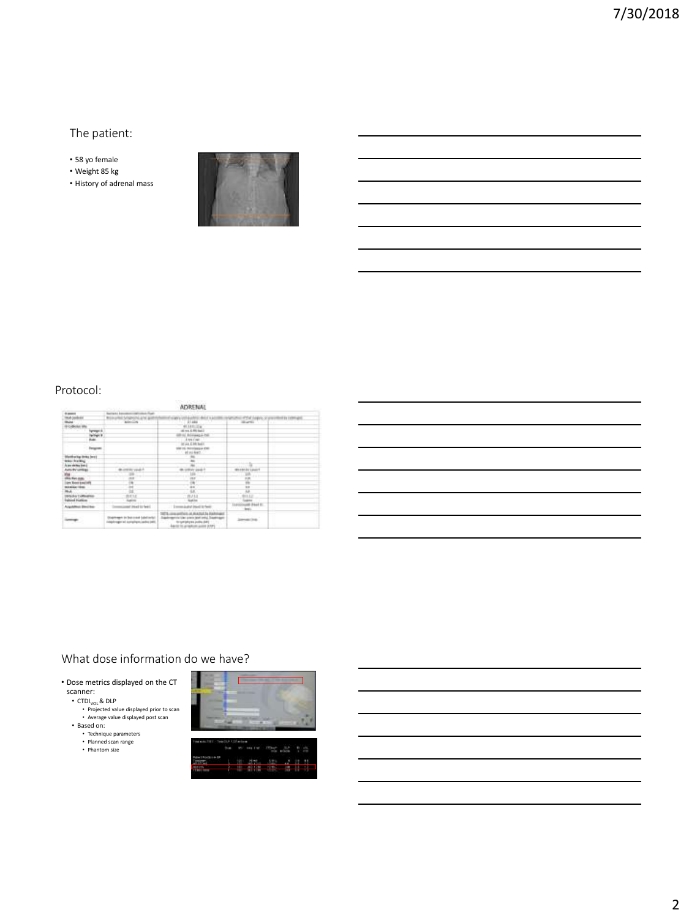# The patient:

• 58 yo female

- Weight 85 kg
- History of adrenal mass



## Protocol:

|                                                                                                                                                                                                                                | <b>STATISTICS</b>                                                             | <b>ADRENAL</b>                                                              |                                                   |    |
|--------------------------------------------------------------------------------------------------------------------------------------------------------------------------------------------------------------------------------|-------------------------------------------------------------------------------|-----------------------------------------------------------------------------|---------------------------------------------------|----|
| <b>Support</b>                                                                                                                                                                                                                 | paintings in the<br><b>Retire to box</b><br><b>REFORM SOURCES AND</b>         | <b>The State</b>                                                            | which is a state of the committee of the com-     |    |
| indrocker<br>PSORANLIN<br>ವಾ<br><b>Bab</b><br><b>Felgrent</b>                                                                                                                                                                  |                                                                               | 4131114<br>IL ROSALL NE<br>Arranoga -<br><b>Coult Miles</b><br>10 MINNER OF |                                                   |    |
| <b>Homewing dema bees</b><br><b>British Printers</b><br>۰<br><b>Auto states time!</b><br>Auto By untiling<br><b>ts</b><br>this fact man."<br>in fortunity<br>projekt (Offisierte)<br>Hallmark Poultkam<br>the first product of | waren unt:<br>$-0.0$<br>$\sim$<br>$-0.01$                                     | $-$ ed mi-feed.<br>$-100$<br>m<br>拡<br>Suite                                | <b>BLIST IV LEART</b><br>$-1 - 1$<br>12<br>ë<br>Ä | -- |
| Acquisition Direction                                                                                                                                                                                                          | at injuri to                                                                  |                                                                             |                                                   |    |
| $\frac{1}{2}$                                                                                                                                                                                                                  | Hempels day Book is start folded include<br>indebroger of surrelianceme pert. | at machatha list<br>to produce policies?<br>Herita is analyze policies      | 2010/01/10                                        | ÷  |

| the control of the control of the control of the control of the control of the control of the control of the control of the control of the control of the control of the control of the control of the control of the control |  |  |
|-------------------------------------------------------------------------------------------------------------------------------------------------------------------------------------------------------------------------------|--|--|
|                                                                                                                                                                                                                               |  |  |
|                                                                                                                                                                                                                               |  |  |
|                                                                                                                                                                                                                               |  |  |
|                                                                                                                                                                                                                               |  |  |

## What dose information do we have?

• Dose metrics displayed on the CT scanner:

- 
- CTDI<sub>VOL</sub> & DLP<br>• Projected value displayed prior to scan<br>• Average value displayed post scan<br>• Based on:
- 
- Technique parameters Planned scan range Phantom size
- 



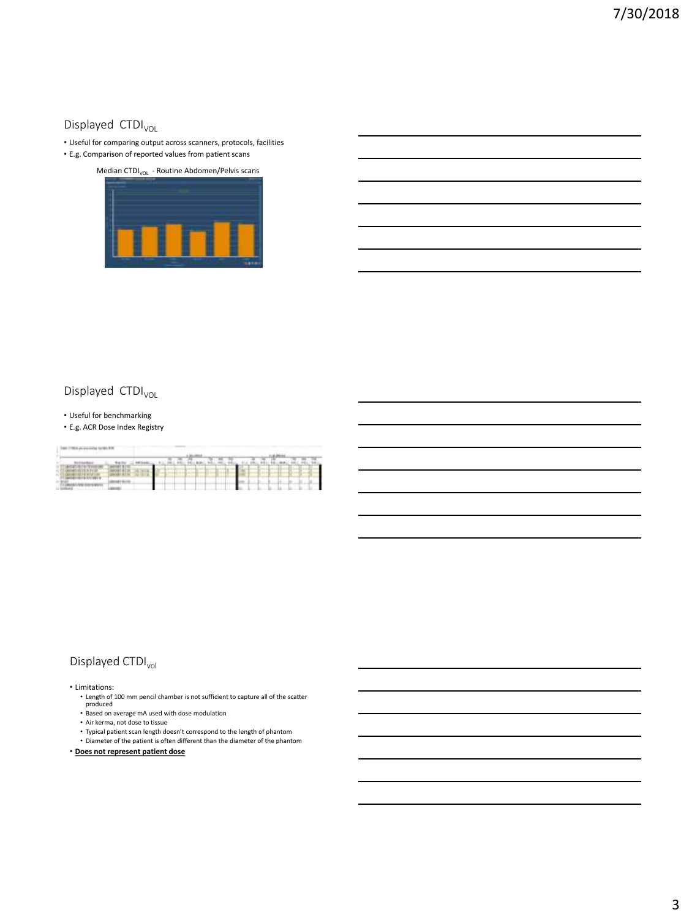# Displayed CTDI<sub>VOL</sub>

- Useful for comparing output across scanners, protocols, facilities
- E.g. Comparison of reported values from patient scans



# Displayed CTDI<sub>VOL</sub>

#### • Useful for benchmarking

• E.g. ACR Dose Index Registry

| to contact and |                 |  |  |  |  |  |  |  |  |  |
|----------------|-----------------|--|--|--|--|--|--|--|--|--|
|                |                 |  |  |  |  |  |  |  |  |  |
| TIME STATES    | <b>HARRISTS</b> |  |  |  |  |  |  |  |  |  |
|                |                 |  |  |  |  |  |  |  |  |  |

# Displayed CTDI<sub>vol</sub>

#### • Limitations:

- Length of 100 mm pencil chamber is not sufficient to capture all of the scatter produced
- Based on average mA used with dose modulation
- Air kerma, not dose to tissue
- Typical patient scan length doesn't correspond to the length of phantom Diameter of the patient is often different than the diameter of the phantom

• **Does not represent patient dose**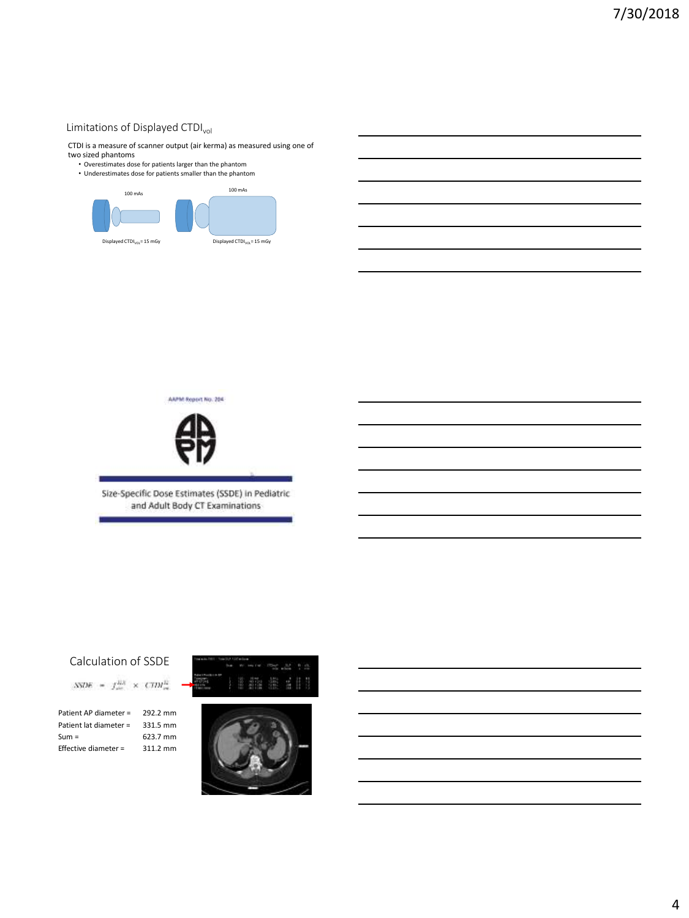# Limitations of Displayed CTDI<sub>vol</sub>

CTDI is a measure of scanner output (air kerma) as measured using one of two sized phantoms

- Overestimates dose for patients larger than the phantom
- Underestimates dose for patients smaller than the phantom



AAPM Report No. 204



Size-Specific Dose Estimates (SSDE) in Pediatric and Adult Body CT Examinations

# Calculation of SSDE

 $S\!S\!D\!E \ = \ f_{\rm esc}^{\rm L\!R} \ \times \ C\!I\!D\!I_{\rm ex}^{\rm R}$ 

Patient AP diameter = 292.2 mm Patient lat diameter = 331.5 mm Sum = 623.7 mm Effective diameter = 311.2 mm



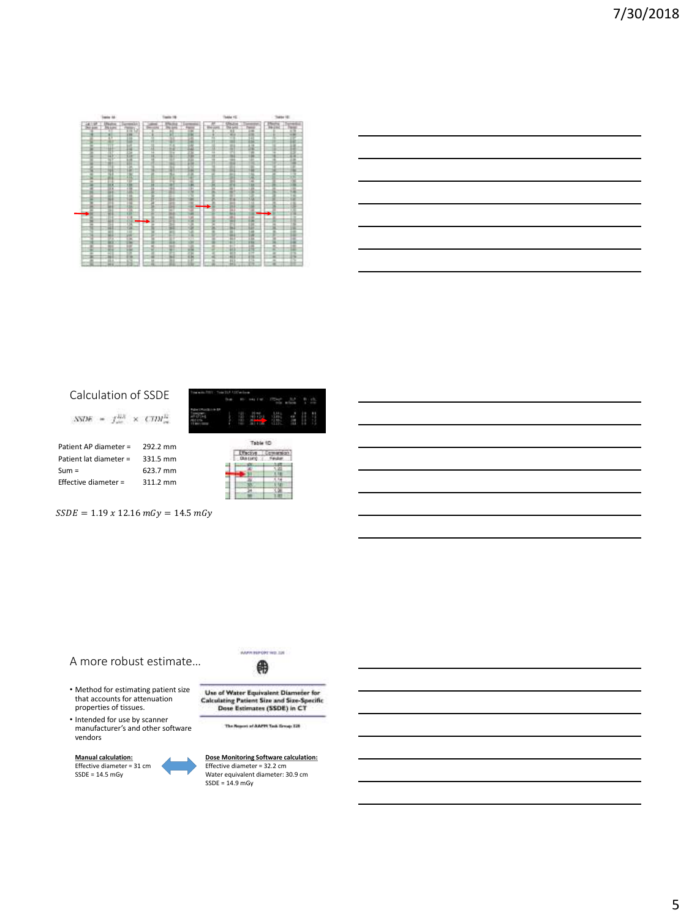

| <u> 1989 - Johann Barn, mars ann an t-Amhainn an t-Amhainn an t-Amhainn an t-Amhainn an t-Amhainn an t-Amhainn an</u>                                                                                                         |  |
|-------------------------------------------------------------------------------------------------------------------------------------------------------------------------------------------------------------------------------|--|
|                                                                                                                                                                                                                               |  |
| the control of the control of the control of the control of the control of the control of the control of the control of the control of the control of the control of the control of the control of the control of the control |  |
|                                                                                                                                                                                                                               |  |
| <u> 1989 - Johann Stoff, amerikansk politiker (d. 1989)</u>                                                                                                                                                                   |  |
| <u> 1989 - Johann Barn, mars ann an t-Amhainn an t-Amhainn an t-Amhainn an t-Amhainn an t-Amhainn an t-Amhainn an </u>                                                                                                        |  |
| <u> 1989 - Johann Barn, fransk politik (d. 1989)</u>                                                                                                                                                                          |  |
|                                                                                                                                                                                                                               |  |

## Calculation of SSDE

|  |  | $SODE = f_{\text{esc}}^{\text{UL}} \times CDM_{\text{eq}}^{\text{UL}}$ |
|--|--|------------------------------------------------------------------------|
|  |  |                                                                        |

| Patient AP diameter =  | 292.2 mm |
|------------------------|----------|
| Patient lat diameter = | 331.5 mm |
| Sum =                  | 623.7 mm |
| Effective diameter =   | 311.2 mm |
|                        |          |

|  | i |  |  |  |  |  |  |  |
|--|---|--|--|--|--|--|--|--|
|--|---|--|--|--|--|--|--|--|



 $SSDE = 1.19 x 12.16 mGy = 14.5 mGy$ 

#### A more robust estimate…

• Method for estimating patient size that accounts for attenuation properties of tissues.

• Intended for use by scanner manufacturer's and other software vendors

**Manual calculation:** Effective diameter = 31 cm  $SSE = 14.5 mGy$ 



Use of Water Equivalent Diameter for<br>Calculating Patient Size and Size-Specific<br>Dose Estimates (SSDE) in CT

The Report of AAPPI Took firmsp 128

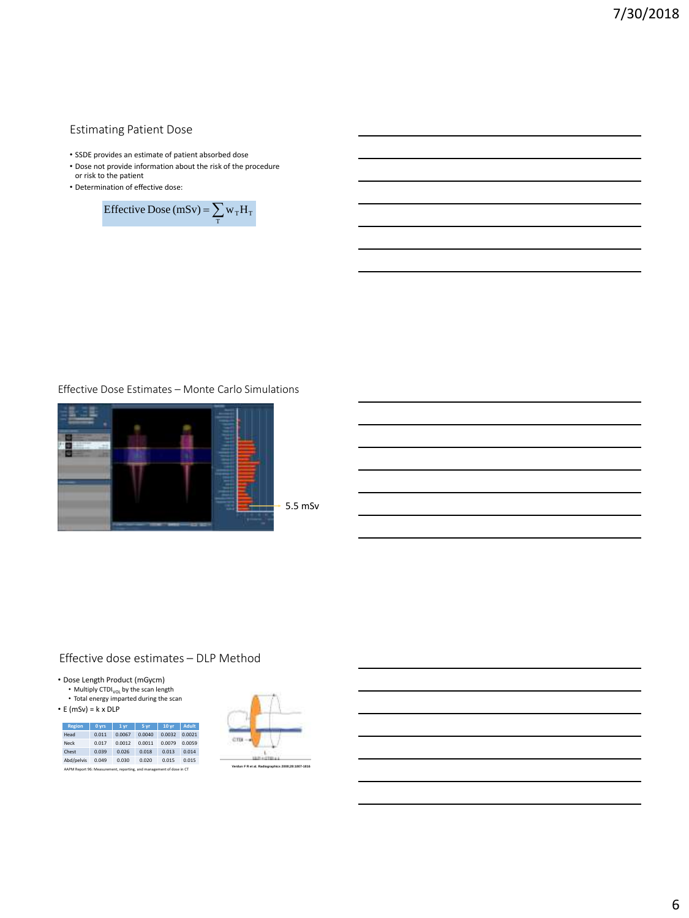# Estimating Patient Dose

- SSDE provides an estimate of patient absorbed dose
- Dose not provide information about the risk of the procedure or risk to the patient
- Determination of effective dose:



## Effective Dose Estimates – Monte Carlo Simulations



5.5 mSv

### Effective dose estimates – DLP Method

• Dose Length Product (mGycm)<br>• Multiply CTDI<sub>VOL</sub> by the scan length<br>• Total energy imparted during the scan

•  $E$  (mSv) =  $k \times DLP$ 

| <b>Region</b>                                                        | 0 yrs | 1 <sub>yr</sub> | 5 yr   | 10 <sub>vr</sub> | <b>Adult</b> |
|----------------------------------------------------------------------|-------|-----------------|--------|------------------|--------------|
| Head                                                                 | 0.011 | 0.0067          | 0.0040 | 0.0032           | 0.0021       |
| Neck                                                                 | 0.017 | 0.0012          | 0.0011 | 0.0079           | 0.0059       |
| Chest                                                                | 0.039 | 0.026           | 0.018  | 0.013            | 0.014        |
| Abd/pelvis                                                           | 0.049 | 0.030           | 0.020  | 0.015            | 0.015        |
| AAPM Report 96: Measurement, reporting, and management of dose in CT |       |                 |        |                  |              |



**Verdun F R et al. Radiographics 2008;28:1807-1816**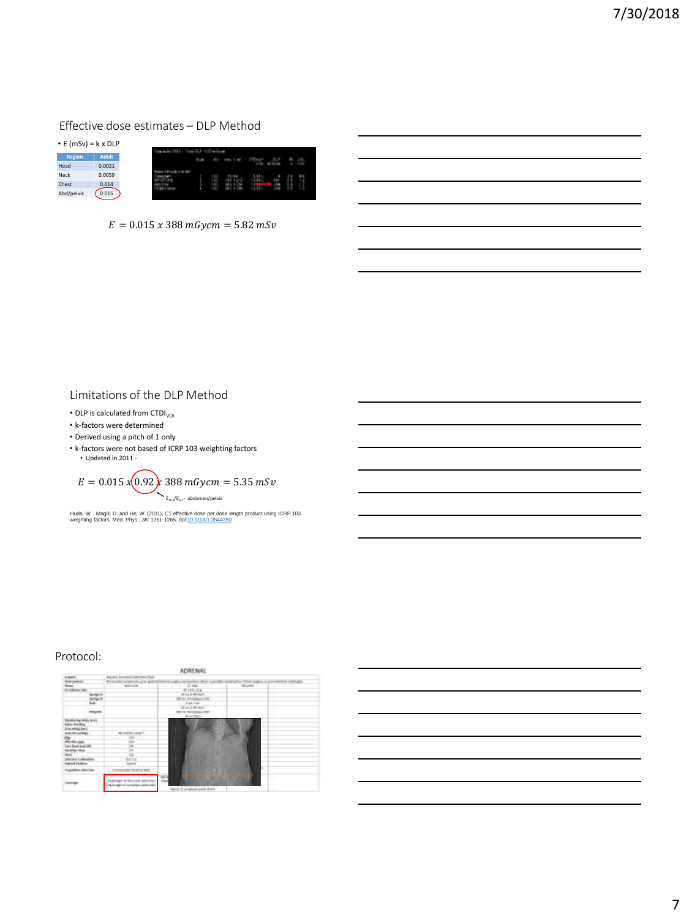# Effective dose estimates – DLP Method

|               | $\bullet$ E (mSv) = k x DLP |
|---------------|-----------------------------|
| <b>Region</b> | <b>Adult</b>                |
| Head          | 0.0021                      |
| Neck          | 0.0059                      |
| Chest         | 0.014                       |
| Abd/pelvis    | 0.015                       |

 $E = 0.015 x 388 mGycm = 5.82 mSv$ 

## Limitations of the DLP Method

- DLP is calculated from  $\text{CTDI}_{\text{VOL}}$
- k-factors were determined
- Derived using a pitch of 1 only
- k-factors were not based of ICRP 103 weighting factors • Updated in 2011 -

$$
E = 0.015 \times 0.92 \times 388 mGycm = 5.35 mSv
$$
  

$$
E_{\text{E}_{\text{E}}/E_{\text{E}} \cdot \text{abdomen/peNis}}
$$

Huda, W. , Magill, D. and He, W. (2011), CT effective dose per dose length product using ICRP 103<br>weighting factors. Med. Phys., 38: 1261-1265. doi<u>:[10.1118/1.3544350](https://doi.org/10.1118/1.3544350)</u>

## Protocol:

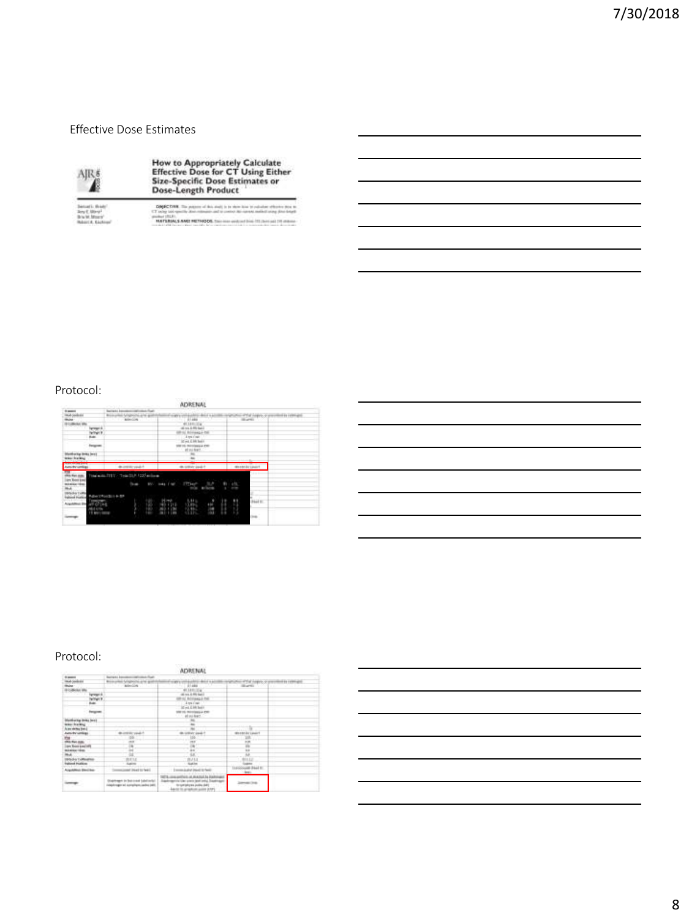## Effective Dose Estimates

How to Appropriately Calculate<br>Effective Dose for CT Using Either<br>Size-Specific Dose Estimates or<br>Dose-Length Product

| <b>SEEM MAIL</b> |  |  |  |  |
|------------------|--|--|--|--|
|                  |  |  |  |  |
|                  |  |  |  |  |
|                  |  |  |  |  |

## Protocol:

|                                                                                                                                           | <b>CONSTRUCT</b>                                               |    |                  | <b>ADRENAL</b>                                                                                                     |                    |  |                                              |                |
|-------------------------------------------------------------------------------------------------------------------------------------------|----------------------------------------------------------------|----|------------------|--------------------------------------------------------------------------------------------------------------------|--------------------|--|----------------------------------------------|----------------|
| <b>Statement</b><br><b>ALA GON AV</b><br>÷<br><b>STATISTICS</b><br>armed A<br><br><b>Forgont</b><br>what firms been<br><b>ALL SIX BOX</b> | <b>Restracts Ave</b><br><b><i><u>STAR STARTER</u></i></b>      |    |                  | <b>STERN</b><br><b>ALLES TA</b><br>all next at \$95 Appl.)<br>of African FM<br>A res close.<br>L.C. Jolla, Sanders | <b>Haskin Etti</b> |  | <b>CALIFORNIA</b><br><b>Burnis</b><br>w<br>w | <b>History</b> |
| Auto By unline                                                                                                                            | <b>BUSINESS</b>                                                |    |                  | <b>B-USIN</b> (647)                                                                                                |                    |  | <b>WHEN INCOME</b>                           |                |
| on lines soul<br>monitor that<br>Mul<br><b>Lincoln</b>                                                                                    | Trainin TITL: TeachUA CO mine<br><br><b>MAYORAMEN &amp; BR</b> | w. | <b>HALL FIRE</b> | <b>ITTS</b>                                                                                                        |                    |  | $-1 - 1$<br>hair.                            |                |
| <b>Brand Street</b>                                                                                                                       |                                                                |    |                  |                                                                                                                    | ŧ                  |  |                                              |                |
|                                                                                                                                           |                                                                |    |                  |                                                                                                                    |                    |  | ÷<br>ing.                                    |                |

#### Protocol:

|                                            | <b>CONTRACTOR</b><br><b>Barrietti Associazioni dell'India</b>   |                                                                                                                                                                                                                                                                                                                                                                                              |                      |  |  |  |  |  |
|--------------------------------------------|-----------------------------------------------------------------|----------------------------------------------------------------------------------------------------------------------------------------------------------------------------------------------------------------------------------------------------------------------------------------------------------------------------------------------------------------------------------------------|----------------------|--|--|--|--|--|
| internet<br>The School Pro                 | <b>REFORM SOURCES AND</b><br><b>WASHINGTON STATEMENT COMME.</b> |                                                                                                                                                                                                                                                                                                                                                                                              |                      |  |  |  |  |  |
|                                            |                                                                 | <b>STERNE</b>                                                                                                                                                                                                                                                                                                                                                                                |                      |  |  |  |  |  |
|                                            |                                                                 | 4131114                                                                                                                                                                                                                                                                                                                                                                                      |                      |  |  |  |  |  |
|                                            |                                                                 |                                                                                                                                                                                                                                                                                                                                                                                              |                      |  |  |  |  |  |
|                                            |                                                                 | IR IL ROVANDA DE                                                                                                                                                                                                                                                                                                                                                                             |                      |  |  |  |  |  |
| <b>Butt</b>                                |                                                                 | Arrange 1                                                                                                                                                                                                                                                                                                                                                                                    | w                    |  |  |  |  |  |
|                                            |                                                                 | <b>Coll EM Nov</b>                                                                                                                                                                                                                                                                                                                                                                           |                      |  |  |  |  |  |
| Feighert                                   |                                                                 | blit on incompany are:<br>all on hard                                                                                                                                                                                                                                                                                                                                                        |                      |  |  |  |  |  |
|                                            |                                                                 |                                                                                                                                                                                                                                                                                                                                                                                              |                      |  |  |  |  |  |
| Hambucky dring (ent)                       |                                                                 |                                                                                                                                                                                                                                                                                                                                                                                              | . .                  |  |  |  |  |  |
| <b>British Printers</b><br>u               |                                                                 |                                                                                                                                                                                                                                                                                                                                                                                              |                      |  |  |  |  |  |
| futer starting time of<br>Auto By untiling |                                                                 |                                                                                                                                                                                                                                                                                                                                                                                              | mint of<br>w         |  |  |  |  |  |
|                                            |                                                                 | $\frac{1}{2} \frac{1}{2} \frac{1}{2} \frac{1}{2} \frac{1}{2} \frac{1}{2} \frac{1}{2} \frac{1}{2} \frac{1}{2} \frac{1}{2} \frac{1}{2} \frac{1}{2} \frac{1}{2} \frac{1}{2} \frac{1}{2} \frac{1}{2} \frac{1}{2} \frac{1}{2} \frac{1}{2} \frac{1}{2} \frac{1}{2} \frac{1}{2} \frac{1}{2} \frac{1}{2} \frac{1}{2} \frac{1}{2} \frac{1}{2} \frac{1}{2} \frac{1}{2} \frac{1}{2} \frac{1}{2} \frac{$ | <b>BIRNING</b><br>-- |  |  |  |  |  |
| <b>ts:</b>                                 | $\frac{1}{\sqrt{2}}$                                            |                                                                                                                                                                                                                                                                                                                                                                                              | $-1 - 1$             |  |  |  |  |  |
| <b>PRO FRA CUR.</b><br>The Southwest       |                                                                 |                                                                                                                                                                                                                                                                                                                                                                                              |                      |  |  |  |  |  |
|                                            |                                                                 |                                                                                                                                                                                                                                                                                                                                                                                              |                      |  |  |  |  |  |
| $\frac{1}{2}$                              |                                                                 | Ã                                                                                                                                                                                                                                                                                                                                                                                            | H                    |  |  |  |  |  |
|                                            | йù                                                              |                                                                                                                                                                                                                                                                                                                                                                                              | űц                   |  |  |  |  |  |
| <b>SPARK TORNERS</b>                       | <b>Salima</b>                                                   | Suite                                                                                                                                                                                                                                                                                                                                                                                        |                      |  |  |  |  |  |
| the product of the                         |                                                                 |                                                                                                                                                                                                                                                                                                                                                                                              | <b>ART DIALE</b>     |  |  |  |  |  |
| <b>Augustations</b> Directions             | at injuri to held                                               | 1. There are dealers linked to<br>de alculaciones establecidades de                                                                                                                                                                                                                                                                                                                          | kets.                |  |  |  |  |  |
| ÷                                          | Eidenbroger ad Australians (admit 2001).                        | THE R. LEWIS CO., LANSING MICH.<br>to the hydrotector (ex)                                                                                                                                                                                                                                                                                                                                   | annes (mp.           |  |  |  |  |  |

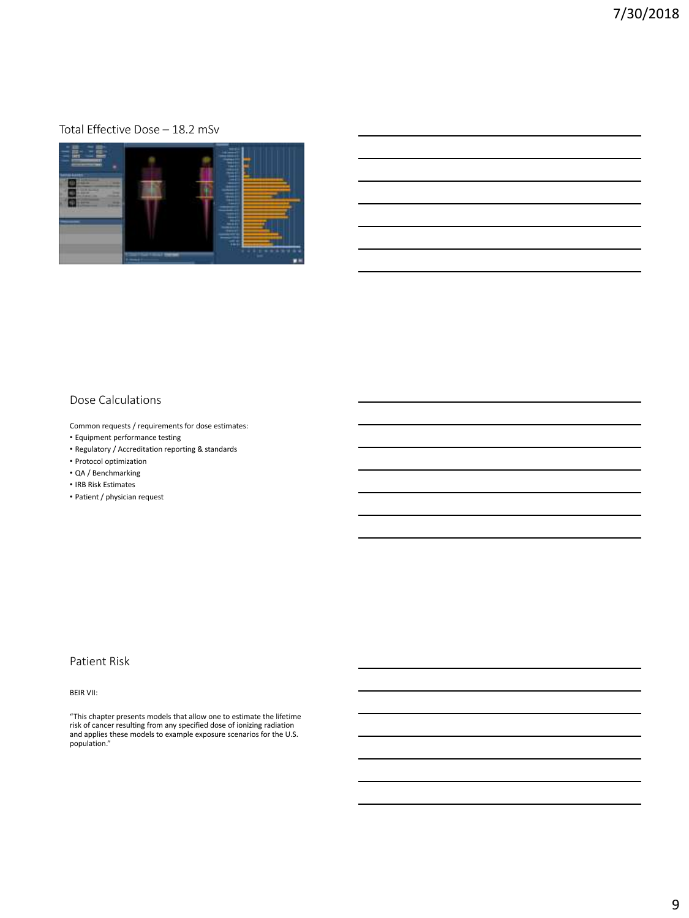## Total Effective Dose – 18.2 mSv



# Dose Calculations

Common requests / requirements for dose estimates:

- Equipment performance testing
- Regulatory / Accreditation reporting & standards
- Protocol optimization
- QA / Benchmarking
- IRB Risk Estimates
- Patient / physician request

## Patient Risk

#### BEIR VII:

"This chapter presents models that allow one to estimate the lifetime risk of cancer resulting from any specified dose of ionizing radiation and applies these models to example exposure scenarios for the U.S. population."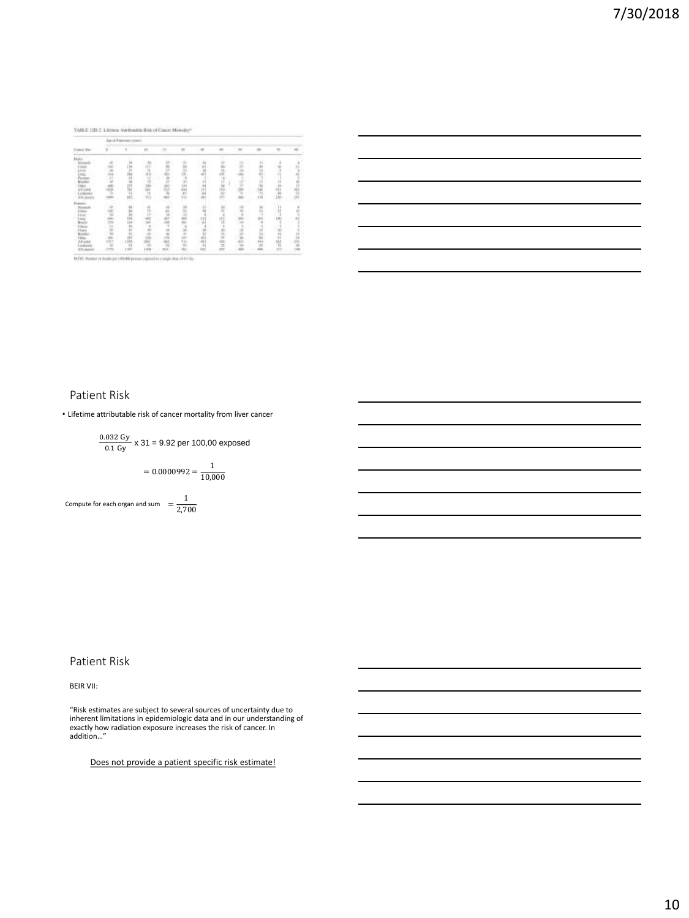#### TABLE (ID-2 Literae Adelmatic Rot of Color Motoly)\*

|                          | Lan at Rasmate virus |        |                |         |       |    |             |  |   |                                  |  |
|--------------------------|----------------------|--------|----------------|---------|-------|----|-------------|--|---|----------------------------------|--|
|                          |                      |        | $\mathbb{R}^n$ | 1109.00 | $m$ . |    |             |  |   |                                  |  |
| Е<br>ē<br><b>Service</b> |                      |        |                |         | 읇     |    |             |  |   |                                  |  |
| Hillilli                 |                      | 두<br>Ä |                |         | Ě     | H. | 址<br>£<br>Ξ |  | п | - 11<br>V.<br>$\rightarrow$<br>범 |  |

#### Patient Risk

• Lifetime attributable risk of cancer mortality from liver cancer

0.032 Gy  $\frac{0.002 \text{ Gy}}{0.1 \text{ Gy}}$  x 31 = 9.92 per 100,00 exposed

$$
= 0.0000992 = \frac{1}{10,000}
$$

Compute for each organ and sum  $=$   $\frac{1}{2.7}$ 2,700

#### Patient Risk

BEIR VII:

"Risk estimates are subject to several sources of uncertainty due to inherent limitations in epidemiologic data and in our understanding of exactly how radiation exposure increases the risk of cancer. In addition…"

Does not provide a patient specific risk estimate!